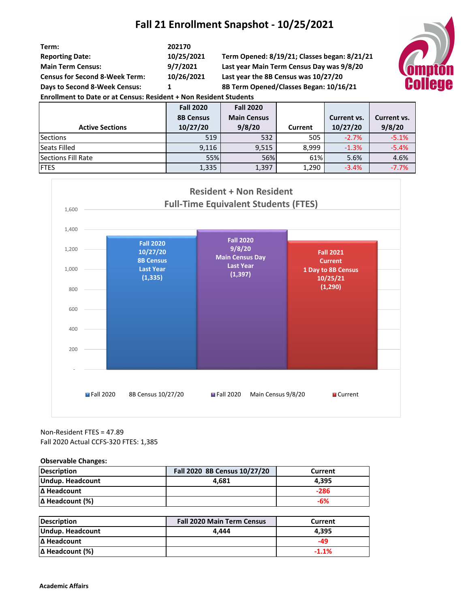## **Fall 21 Enrollment Snapshot - 10/25/2021**

| Term:<br><b>Reporting Date:</b><br><b>Main Term Census:</b><br><b>Census for Second 8-Week Term:</b><br>Days to Second 8-Week Census:<br><b>Enrollment to Date or at Census: Resident + Non Resident Students</b> | 202170<br>10/25/2021<br>Term Opened: 8/19/21; Classes began: 8/21/21<br>9/7/2021<br>Last year Main Term Census Day was 9/8/20<br>10/26/2021<br>Last year the 8B Census was 10/27/20<br>1IA<br>8B Term Opened/Classes Began: 10/16/21 |                                        |         |             |             |  |
|-------------------------------------------------------------------------------------------------------------------------------------------------------------------------------------------------------------------|--------------------------------------------------------------------------------------------------------------------------------------------------------------------------------------------------------------------------------------|----------------------------------------|---------|-------------|-------------|--|
|                                                                                                                                                                                                                   | <b>Fall 2020</b><br><b>8B Census</b>                                                                                                                                                                                                 | <b>Fall 2020</b><br><b>Main Census</b> |         | Current vs. | Current vs. |  |
| <b>Active Sections</b>                                                                                                                                                                                            | 10/27/20                                                                                                                                                                                                                             | 9/8/20                                 | Current | 10/27/20    | 9/8/20      |  |
| <b>Sections</b>                                                                                                                                                                                                   | 519                                                                                                                                                                                                                                  | 532                                    | 505     | $-2.7%$     | $-5.1%$     |  |
| Seats Filled                                                                                                                                                                                                      | 9,116                                                                                                                                                                                                                                | 9,515                                  | 8,999   | $-1.3%$     | $-5.4%$     |  |
| <b>Sections Fill Rate</b>                                                                                                                                                                                         | 55%                                                                                                                                                                                                                                  | 56%                                    | 61%     | 5.6%        | 4.6%        |  |
| <b>FTES</b>                                                                                                                                                                                                       | 1,335                                                                                                                                                                                                                                | 1,397                                  | 1,290   | $-3.4%$     | $-7.7%$     |  |



Non-Resident FTES = 47.89 Fall 2020 Actual CCFS-320 FTES: 1,385

**Observable Changes:**

| <b>Description</b>     | Fall 2020 8B Census 10/27/20 | Current |
|------------------------|------------------------------|---------|
| Undup. Headcount       | 4.681                        | 4.395   |
| IΔ Headcount           |                              | $-286$  |
| $\Delta$ Headcount (%) |                              | -6%     |

| <b>Description</b>     | <b>Fall 2020 Main Term Census</b> | Current |
|------------------------|-----------------------------------|---------|
| Undup. Headcount       | 4.444                             | 4.395   |
| IΔ Headcount           |                                   | -49     |
| $\Delta$ Headcount (%) |                                   | $-1.1%$ |